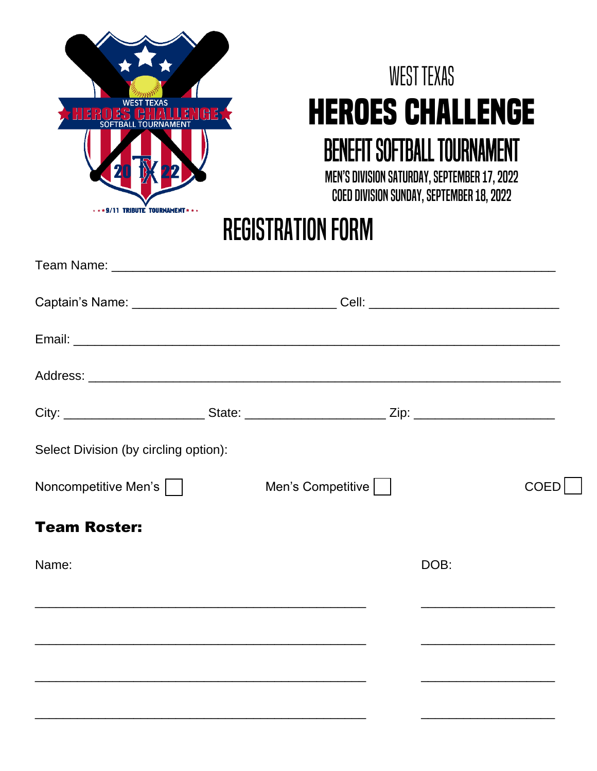

# West Texas **Heroes Challenge** Benefit Softball Tournament

Men's Division Saturday, September 17, 2022 COED DIVISION SUNDAY, SEPTEMBER 18, 2022

## REGISTRATION FORM

| Captain's Name: __________________________________Cell: ________________________ |                   |                                                                                                                                                                                                                                      |      |
|----------------------------------------------------------------------------------|-------------------|--------------------------------------------------------------------------------------------------------------------------------------------------------------------------------------------------------------------------------------|------|
|                                                                                  |                   |                                                                                                                                                                                                                                      |      |
|                                                                                  |                   |                                                                                                                                                                                                                                      |      |
|                                                                                  |                   |                                                                                                                                                                                                                                      |      |
| Select Division (by circling option):                                            |                   |                                                                                                                                                                                                                                      |      |
| Noncompetitive Men's                                                             | Men's Competitive |                                                                                                                                                                                                                                      | COED |
| <b>Team Roster:</b>                                                              |                   |                                                                                                                                                                                                                                      |      |
| Name:                                                                            |                   | DOB:                                                                                                                                                                                                                                 |      |
|                                                                                  |                   | <u> 1989 - John Harry Harry Harry Harry Harry Harry Harry Harry Harry Harry Harry Harry Harry Harry Harry Harry Harry Harry Harry Harry Harry Harry Harry Harry Harry Harry Harry Harry Harry Harry Harry Harry Harry Harry Harr</u> |      |
|                                                                                  |                   |                                                                                                                                                                                                                                      |      |
|                                                                                  |                   |                                                                                                                                                                                                                                      |      |
|                                                                                  |                   |                                                                                                                                                                                                                                      |      |

\_\_\_\_\_\_\_\_\_\_\_\_\_\_\_\_\_\_\_\_\_\_\_\_\_\_\_\_\_\_\_\_\_\_\_\_\_\_\_\_\_\_\_\_\_\_\_ \_\_\_\_\_\_\_\_\_\_\_\_\_\_\_\_\_\_\_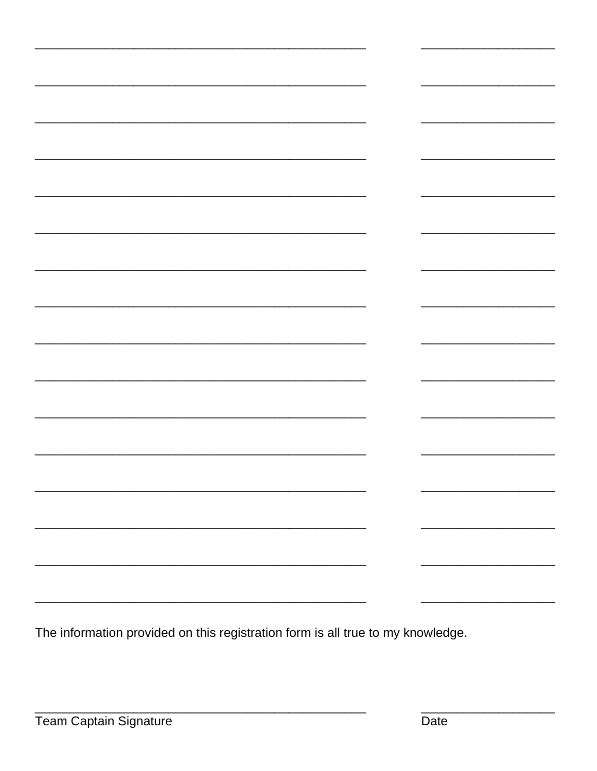| $\overline{\phantom{0}}$ | $\overline{\phantom{0}}$ |
|--------------------------|--------------------------|
|                          |                          |
|                          |                          |
|                          | $\overline{\phantom{0}}$ |
|                          |                          |
|                          | $\overline{\phantom{0}}$ |
|                          |                          |
|                          |                          |
|                          |                          |
|                          |                          |
|                          |                          |
|                          |                          |

The information provided on this registration form is all true to my knowledge.